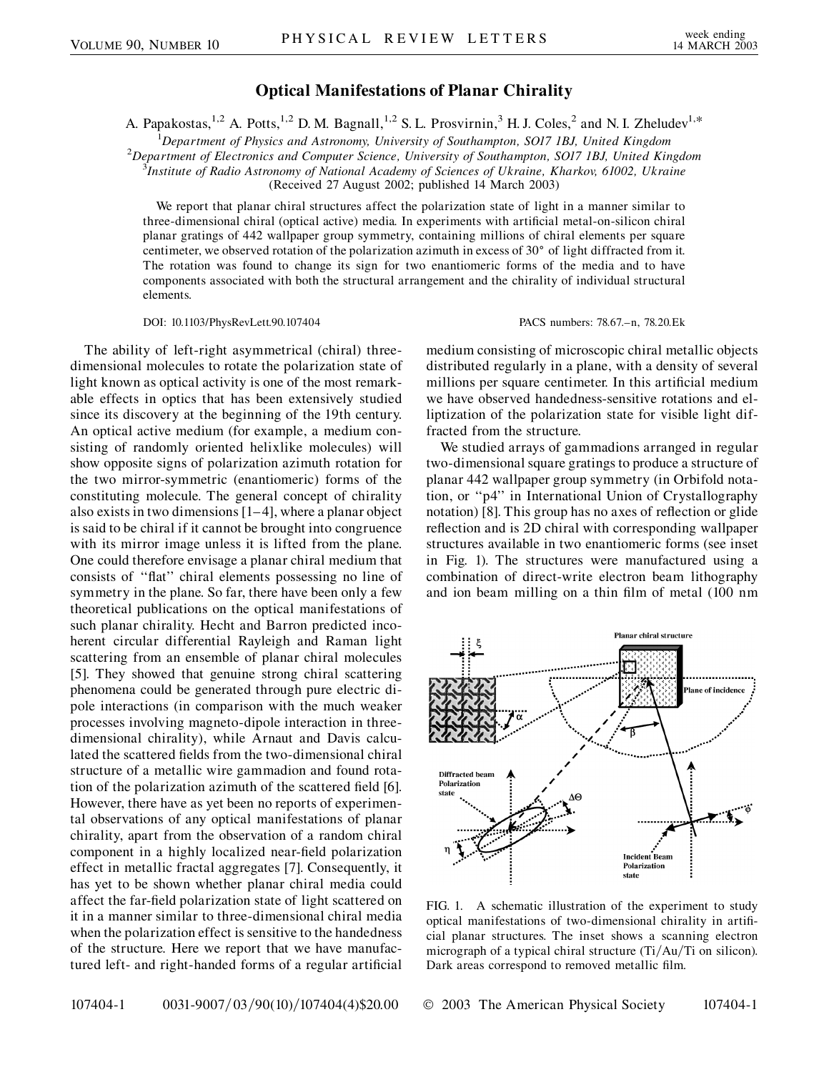## **Optical Manifestations of Planar Chirality**

A. Papakostas,<sup>1,2</sup> A. Potts,<sup>1,2</sup> D. M. Bagnall,<sup>1,2</sup> S. L. Prosvirnin,<sup>3</sup> H. J. Coles,<sup>2</sup> and N. I. Zheludev<sup>1,\*</sup>

<sup>1</sup>Department of Physics and Astronomy, University of Southampton, SO17 1BJ, United Kingdom<br><sup>2</sup>Department of Electronics and Computer Science, University of Southampton, SO17 1BJ, United Kin

*Department of Electronics and Computer Science, University of Southampton, SO17 1BJ, United Kingdom* <sup>3</sup>

*Institute of Radio Astronomy of National Academy of Sciences of Ukraine, Kharkov, 61002, Ukraine*

(Received 27 August 2002; published 14 March 2003)

We report that planar chiral structures affect the polarization state of light in a manner similar to three-dimensional chiral (optical active) media. In experiments with artificial metal-on-silicon chiral planar gratings of 442 wallpaper group symmetry, containing millions of chiral elements per square centimeter, we observed rotation of the polarization azimuth in excess of 30° of light diffracted from it. The rotation was found to change its sign for two enantiomeric forms of the media and to have components associated with both the structural arrangement and the chirality of individual structural elements.

DOI: 10.1103/PhysRevLett.90.107404 PACS numbers: 78.67.–n, 78.20.Ek

The ability of left-right asymmetrical (chiral) threedimensional molecules to rotate the polarization state of light known as optical activity is one of the most remarkable effects in optics that has been extensively studied since its discovery at the beginning of the 19th century. An optical active medium (for example, a medium consisting of randomly oriented helixlike molecules) will show opposite signs of polarization azimuth rotation for the two mirror-symmetric (enantiomeric) forms of the constituting molecule. The general concept of chirality also exists in two dimensions [1–4], where a planar object is said to be chiral if it cannot be brought into congruence with its mirror image unless it is lifted from the plane. One could therefore envisage a planar chiral medium that consists of ''flat'' chiral elements possessing no line of symmetry in the plane. So far, there have been only a few theoretical publications on the optical manifestations of such planar chirality. Hecht and Barron predicted incoherent circular differential Rayleigh and Raman light scattering from an ensemble of planar chiral molecules [5]. They showed that genuine strong chiral scattering phenomena could be generated through pure electric dipole interactions (in comparison with the much weaker processes involving magneto-dipole interaction in threedimensional chirality), while Arnaut and Davis calculated the scattered fields from the two-dimensional chiral structure of a metallic wire gammadion and found rotation of the polarization azimuth of the scattered field [6]. However, there have as yet been no reports of experimental observations of any optical manifestations of planar chirality, apart from the observation of a random chiral component in a highly localized near-field polarization effect in metallic fractal aggregates [7]. Consequently, it has yet to be shown whether planar chiral media could affect the far-field polarization state of light scattered on it in a manner similar to three-dimensional chiral media when the polarization effect is sensitive to the handedness of the structure. Here we report that we have manufactured left- and right-handed forms of a regular artificial

medium consisting of microscopic chiral metallic objects distributed regularly in a plane, with a density of several millions per square centimeter. In this artificial medium we have observed handedness-sensitive rotations and elliptization of the polarization state for visible light diffracted from the structure.

We studied arrays of gammadions arranged in regular two-dimensional square gratings to produce a structure of planar 442 wallpaper group symmetry (in Orbifold notation, or ''p4'' in International Union of Crystallography notation) [8]. This group has no axes of reflection or glide reflection and is 2D chiral with corresponding wallpaper structures available in two enantiomeric forms (see inset in Fig. 1). The structures were manufactured using a combination of direct-write electron beam lithography and ion beam milling on a thin film of metal (100 nm



FIG. 1. A schematic illustration of the experiment to study optical manifestations of two-dimensional chirality in artificial planar structures. The inset shows a scanning electron micrograph of a typical chiral structure (Ti/Au/Ti on silicon). Dark areas correspond to removed metallic film.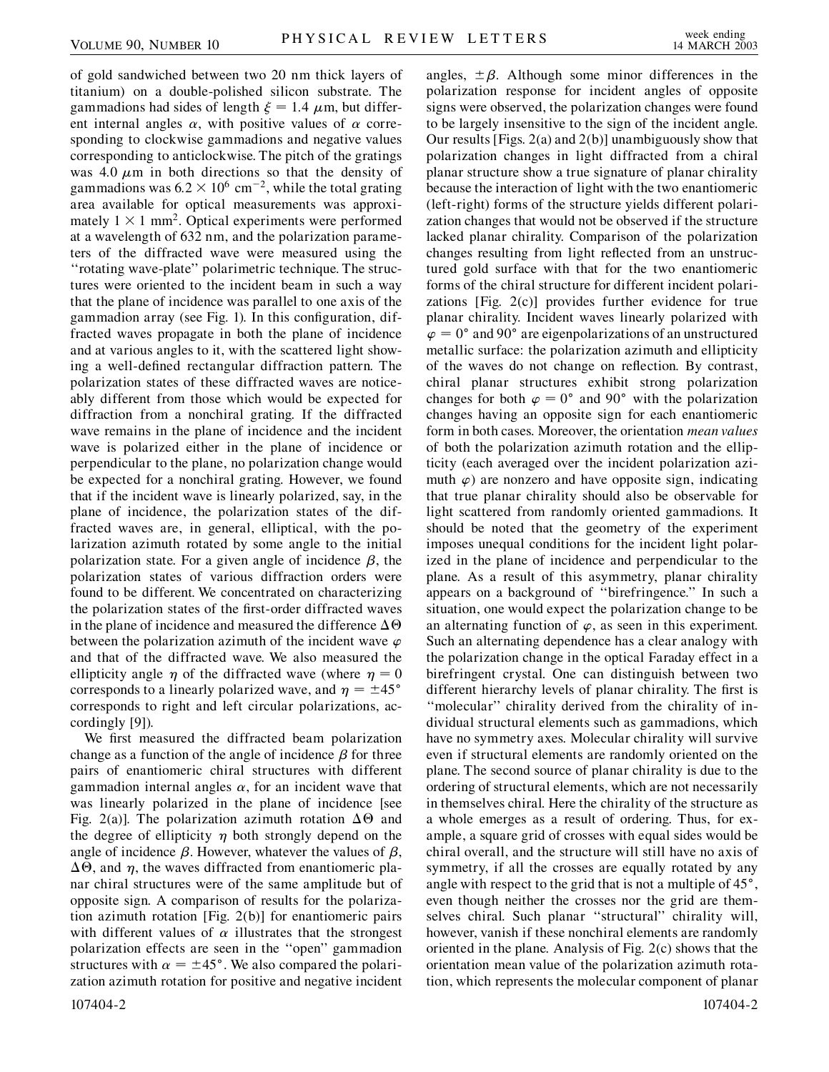of gold sandwiched between two 20 nm thick layers of titanium) on a double-polished silicon substrate. The gammadions had sides of length  $\xi = 1.4 \mu m$ , but different internal angles  $\alpha$ , with positive values of  $\alpha$  corresponding to clockwise gammadions and negative values corresponding to anticlockwise. The pitch of the gratings was 4.0  $\mu$ m in both directions so that the density of gammadions was  $6.2 \times 10^6$  cm<sup>-2</sup>, while the total grating area available for optical measurements was approximately  $1 \times 1$  mm<sup>2</sup>. Optical experiments were performed at a wavelength of 632 nm, and the polarization parameters of the diffracted wave were measured using the ''rotating wave-plate'' polarimetric technique. The structures were oriented to the incident beam in such a way that the plane of incidence was parallel to one axis of the gammadion array (see Fig. 1). In this configuration, diffracted waves propagate in both the plane of incidence and at various angles to it, with the scattered light showing a well-defined rectangular diffraction pattern. The polarization states of these diffracted waves are noticeably different from those which would be expected for diffraction from a nonchiral grating. If the diffracted wave remains in the plane of incidence and the incident wave is polarized either in the plane of incidence or perpendicular to the plane, no polarization change would be expected for a nonchiral grating. However, we found that if the incident wave is linearly polarized, say, in the plane of incidence, the polarization states of the diffracted waves are, in general, elliptical, with the polarization azimuth rotated by some angle to the initial polarization state. For a given angle of incidence  $\beta$ , the polarization states of various diffraction orders were found to be different. We concentrated on characterizing the polarization states of the first-order diffracted waves in the plane of incidence and measured the difference  $\Delta\Theta$ between the polarization azimuth of the incident wave  $\varphi$ and that of the diffracted wave. We also measured the ellipticity angle  $\eta$  of the diffracted wave (where  $\eta = 0$ corresponds to a linearly polarized wave, and  $\eta = \pm 45^{\circ}$ corresponds to right and left circular polarizations, accordingly [9]).

We first measured the diffracted beam polarization change as a function of the angle of incidence  $\beta$  for three pairs of enantiomeric chiral structures with different gammadion internal angles  $\alpha$ , for an incident wave that was linearly polarized in the plane of incidence [see Fig. 2(a)]. The polarization azimuth rotation  $\Delta\Theta$  and the degree of ellipticity  $\eta$  both strongly depend on the angle of incidence  $\beta$ . However, whatever the values of  $\beta$ ,  $\Delta\Theta$ , and  $\eta$ , the waves diffracted from enantiomeric planar chiral structures were of the same amplitude but of opposite sign. A comparison of results for the polarization azimuth rotation [Fig. 2(b)] for enantiomeric pairs with different values of  $\alpha$  illustrates that the strongest polarization effects are seen in the ''open'' gammadion structures with  $\alpha = \pm 45^{\circ}$ . We also compared the polarization azimuth rotation for positive and negative incident

angles,  $\pm \beta$ . Although some minor differences in the polarization response for incident angles of opposite signs were observed, the polarization changes were found to be largely insensitive to the sign of the incident angle. Our results [Figs. 2(a) and 2(b)] unambiguously show that polarization changes in light diffracted from a chiral planar structure show a true signature of planar chirality because the interaction of light with the two enantiomeric (left-right) forms of the structure yields different polarization changes that would not be observed if the structure lacked planar chirality. Comparison of the polarization changes resulting from light reflected from an unstructured gold surface with that for the two enantiomeric forms of the chiral structure for different incident polarizations [Fig. 2(c)] provides further evidence for true planar chirality. Incident waves linearly polarized with  $\varphi = 0^{\circ}$  and 90° are eigenpolarizations of an unstructured metallic surface: the polarization azimuth and ellipticity of the waves do not change on reflection. By contrast, chiral planar structures exhibit strong polarization changes for both  $\varphi = 0^{\circ}$  and 90° with the polarization changes having an opposite sign for each enantiomeric form in both cases. Moreover, the orientation *mean values* of both the polarization azimuth rotation and the ellipticity (each averaged over the incident polarization azimuth  $\varphi$ ) are nonzero and have opposite sign, indicating that true planar chirality should also be observable for light scattered from randomly oriented gammadions. It should be noted that the geometry of the experiment imposes unequal conditions for the incident light polarized in the plane of incidence and perpendicular to the plane. As a result of this asymmetry, planar chirality appears on a background of ''birefringence.'' In such a situation, one would expect the polarization change to be an alternating function of  $\varphi$ , as seen in this experiment. Such an alternating dependence has a clear analogy with the polarization change in the optical Faraday effect in a birefringent crystal. One can distinguish between two different hierarchy levels of planar chirality. The first is ''molecular'' chirality derived from the chirality of individual structural elements such as gammadions, which have no symmetry axes. Molecular chirality will survive even if structural elements are randomly oriented on the plane. The second source of planar chirality is due to the ordering of structural elements, which are not necessarily in themselves chiral. Here the chirality of the structure as a whole emerges as a result of ordering. Thus, for example, a square grid of crosses with equal sides would be chiral overall, and the structure will still have no axis of symmetry, if all the crosses are equally rotated by any angle with respect to the grid that is not a multiple of  $45^\circ$ , even though neither the crosses nor the grid are themselves chiral. Such planar ''structural'' chirality will, however, vanish if these nonchiral elements are randomly oriented in the plane. Analysis of Fig. 2(c) shows that the orientation mean value of the polarization azimuth rotation, which represents the molecular component of planar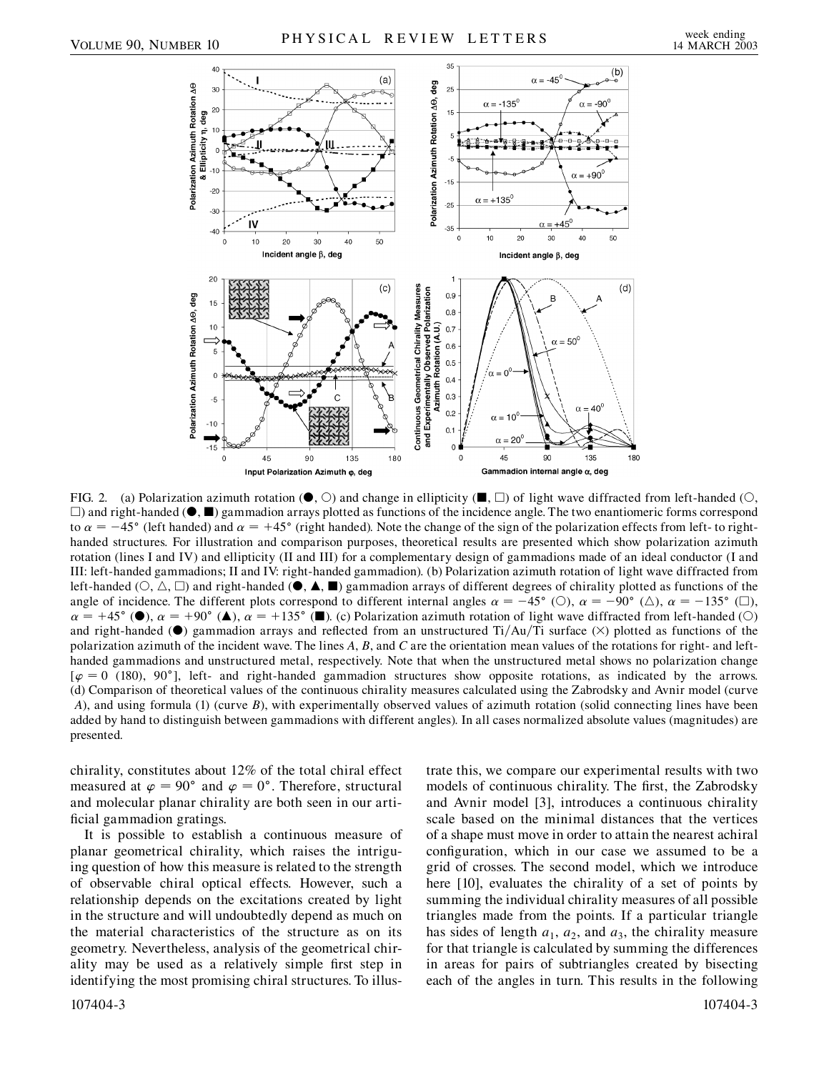

FIG. 2. (a) Polarization azimuth rotation ( $\bullet$ ,  $\circlearrowright$ ) and change in ellipticity ( $\blacksquare$ ,  $\square$ ) of light wave diffracted from left-handed ( $\circlearrowright$ ,  $\Box$ ) and right-handed ( $\bullet$ ,  $\blacksquare$ ) gammadion arrays plotted as functions of the incidence angle. The two enantiomeric forms correspond to  $\alpha = -45^{\circ}$  (left handed) and  $\alpha = +45^{\circ}$  (right handed). Note the change of the sign of the polarization effects from left- to righthanded structures. For illustration and comparison purposes, theoretical results are presented which show polarization azimuth rotation (lines I and IV) and ellipticity (II and III) for a complementary design of gammadions made of an ideal conductor (I and III: left-handed gammadions; II and IV: right-handed gammadion). (b) Polarization azimuth rotation of light wave diffracted from left-handed  $(0, \triangle, \square)$  and right-handed  $(\bullet, \triangle, \blacksquare)$  gammadion arrays of different degrees of chirality plotted as functions of the angle of incidence. The different plots correspond to different internal angles  $\alpha = -45^{\circ}$  (O),  $\alpha = -90^{\circ}$  ( $\triangle$ ),  $\alpha = -135^{\circ}$  ( $\Box$ ),  $\alpha = +45^{\circ}$  ( $\bullet$ ),  $\alpha = +90^{\circ}$  ( $\bullet$ ),  $\alpha = +135^{\circ}$  ( $\bullet$ ). (c) Polarization azimuth rotation of light wave diffracted from left-handed (O) and right-handed ( $\bullet$ ) gammadion arrays and reflected from an unstructured Ti/Au/Ti surface ( $\times$ ) plotted as functions of the polarization azimuth of the incident wave. The lines *A*, *B*, and *C* are the orientation mean values of the rotations for right- and lefthanded gammadions and unstructured metal, respectively. Note that when the unstructured metal shows no polarization change  $[\varphi = 0 \text{ (180)}, 90^\circ]$ , left- and right-handed gammadion structures show opposite rotations, as indicated by the arrows. (d) Comparison of theoretical values of the continuous chirality measures calculated using the Zabrodsky and Avnir model (curve *A*), and using formula (1) (curve *B*), with experimentally observed values of azimuth rotation (solid connecting lines have been added by hand to distinguish between gammadions with different angles). In all cases normalized absolute values (magnitudes) are presented.

chirality, constitutes about 12% of the total chiral effect measured at  $\varphi = 90^{\circ}$  and  $\varphi = 0^{\circ}$ . Therefore, structural and molecular planar chirality are both seen in our artificial gammadion gratings.

It is possible to establish a continuous measure of planar geometrical chirality, which raises the intriguing question of how this measure is related to the strength of observable chiral optical effects. However, such a relationship depends on the excitations created by light in the structure and will undoubtedly depend as much on the material characteristics of the structure as on its geometry. Nevertheless, analysis of the geometrical chirality may be used as a relatively simple first step in identifying the most promising chiral structures. To illustrate this, we compare our experimental results with two models of continuous chirality. The first, the Zabrodsky and Avnir model [3], introduces a continuous chirality scale based on the minimal distances that the vertices of a shape must move in order to attain the nearest achiral configuration, which in our case we assumed to be a grid of crosses. The second model, which we introduce here [10], evaluates the chirality of a set of points by summing the individual chirality measures of all possible triangles made from the points. If a particular triangle has sides of length  $a_1$ ,  $a_2$ , and  $a_3$ , the chirality measure for that triangle is calculated by summing the differences in areas for pairs of subtriangles created by bisecting each of the angles in turn. This results in the following